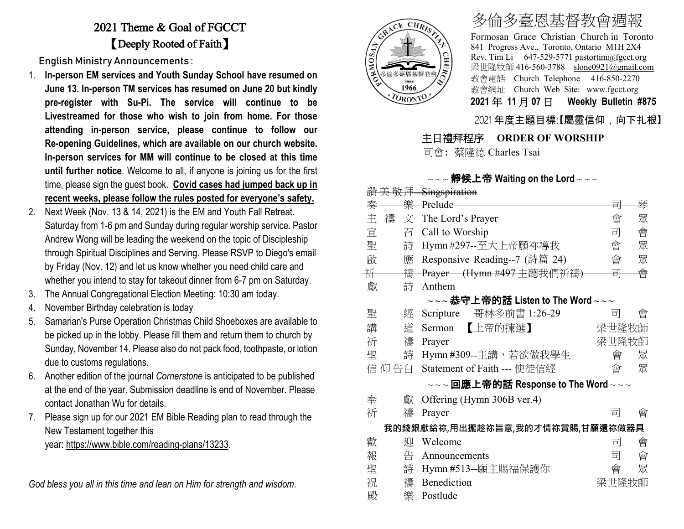## 2021 Theme & Goal of FGCCT 【Deeply Rooted of Faith】

English Ministry Announcements :

- 1. **In-person EM services and Youth Sunday School have resumed on June 13. In-person TM services has resumed on June 20 but kindly pre-register with Su-Pi. The service will continue to be Livestreamed for those who wish to join from home. For those attending in-person service, please continue to follow our Re-opening Guidelines, which are available on our church website. In-person services for MM will continue to be closed at this time until further notice**. Welcome to all, if anyone is joining us for the first time, please sign the guest book. **Covid cases had jumped back up in recent weeks, please follow the rules posted for everyone's safety.**
- 2. Next Week (Nov. 13 & 14, 2021) is the EM and Youth Fall Retreat. Saturday from 1-6 pm and Sunday during regular worship service. Pastor Andrew Wong will be leading the weekend on the topic of Discipleship through Spiritual Disciplines and Serving. Please RSVP to Diego's email by Friday (Nov. 12) and let us know whether you need child care and whether you intend to stay for takeout dinner from 6-7 pm on Saturday.
- 3. The Annual Congregational Election Meeting: 10:30 am today.
- 4. November Birthday celebration is today
- 5. Samarian's Purse Operation Christmas Child Shoeboxes are available to be picked up in the lobby. Please fill them and return them to church by Sunday, November 14. Please also do not pack food, toothpaste, or lotion due to customs regulations.
- 6. Another edition of the journal *Cornerstone* is anticipated to be published at the end of the year. Submission deadline is end of November. Please contact Jonathan Wu for details.
- 7. Please sign up for our 2021 EM Bible Reading plan to read through the New Testament together this

year: [https://www.bible.com/reading-plans/13233.](https://www.bible.com/reading-plans/13233)

*God bless you all in this time and lean on Him for strength and wisdom.*



# 多倫多臺恩基督教會週報

Formosan Grace Christian Church in Toronto 841 Progress Ave., Toronto, Ontario M1H 2X4 Rev. Tim Li 647-529-5771 [pastortim@fgcct.org](mailto:pastortim@fgcct.org) 梁世隆牧師 416-560-3788 slone0921@gmail.com 教會電話 Church Telephone 416-850-2270 教會網址 Church Web Site: www.fgcct.org **2021** 年 **11** 月 **07** 日 **Weekly Bulletin #875** 

### 2021 年度主題目標:【屬靈信仰,向下扎根】

### 主日禮拜程序 **ORDER OF WORSHIP**

司會: 蔡隆德 Charles Tsai

#### $\sim$   $\sim$  **静候上帝 Waiting on the Lord**  $\sim$   $\sim$   $\sim$

|   | 敬拜     | Singspiration                                                                                                 |       |   |
|---|--------|---------------------------------------------------------------------------------------------------------------|-------|---|
| 秦 | 樂      | Prelude                                                                                                       | 킈     | 琴 |
| 主 | 禱<br>文 | The Lord's Prayer                                                                                             | 會     | 眾 |
| 宣 | 召      | Call to Worship                                                                                               | 司     | 會 |
| 聖 | 詩      | Hymn #297--至大上帝願祢導我                                                                                           | 會     | 眾 |
| 啟 | 應      | Responsive Reading--7 (詩篇 24)                                                                                 | 會     | 眾 |
| 并 | 禱      | Prayer (Hymn #497 主聽我們祈禱)                                                                                     | 릐     | 會 |
| 獻 | 詩      | Anthem                                                                                                        |       |   |
|   |        | $\scriptstyle\mathtt{\sim}\mathtt{\sim}$ 恭守上帝的話 Listen to The Word $\scriptstyle\mathtt{\sim}\mathtt{\sim}$   |       |   |
| 聖 | 經      | 哥林多前書 1:26-29<br>Scripture                                                                                    | 司     | 會 |
| 講 | 道      | 【上帝的揀選】<br>Sermon                                                                                             | 梁世隆牧師 |   |
| 祈 | 禱      | Prayer                                                                                                        | 梁世隆牧師 |   |
| 聖 | 詩      | Hymn #309--主講,若欲做我學生                                                                                          | 會     | 眾 |
|   | 信 仰 告白 | Statement of Faith --- 使徒信經                                                                                   | 會     | 眾 |
|   |        | $\scriptstyle\mathtt{\sim}\mathtt{\sim}$ 回應上帝的話 Response to The Word $\scriptstyle\mathtt{\sim}\mathtt{\sim}$ |       |   |
| 奉 | 獻      | Offering (Hymn 306B ver.4)                                                                                    |       |   |
| 祈 | 禱      | Prayer                                                                                                        | 킈     | 會 |
|   |        | 我的錢銀獻給祢,用出攏趁祢旨意,我的才情祢賞賜,甘願還祢做器具                                                                               |       |   |
| 歡 | 泖      | Welcome                                                                                                       | 릐     | 會 |
| 報 | 告      | Announcements                                                                                                 | 司     | 會 |
| 聖 | 詩      | Hymn #513--願主賜福保護你                                                                                            | 會     | 眾 |
| 祝 | 禱      | Benediction                                                                                                   | 梁世隆牧師 |   |
| 殿 | 樂      | Postlude                                                                                                      |       |   |